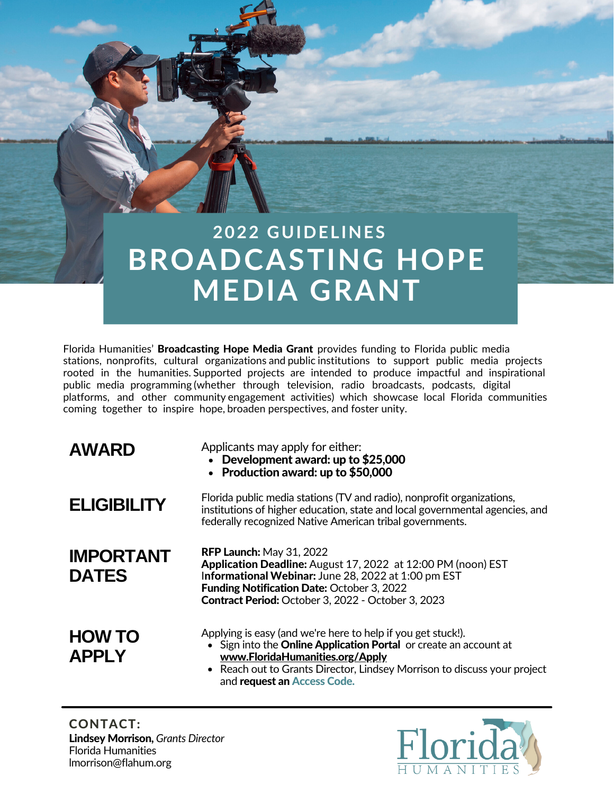# **BROADCASTING HOPE MEDIA GRANT 2 0 2 2 G U I D E L I N E S**

Florida Humanities' Broadcasting Hope Media Grant provides funding to Florida public media stations, nonprofits, cultural organizations and public institutions to support public media projects rooted in the humanities. Supported projects are intended to produce impactful and inspirational public media programming (whether through television, radio broadcasts, podcasts, digital platforms, and other community engagement activities) which showcase local Florida communities coming together to inspire hope, broaden perspectives, and foster unity.

| <b>AWARD</b> |  |
|--------------|--|
|--------------|--|

Applicants may apply for either:

- Development award: up to \$25,000
- Production award: up to \$50,000

| <b>ELIGIBILITY</b>               | Florida public media stations (TV and radio), nonprofit organizations,<br>institutions of higher education, state and local governmental agencies, and<br>federally recognized Native American tribal governments.                                                       |
|----------------------------------|--------------------------------------------------------------------------------------------------------------------------------------------------------------------------------------------------------------------------------------------------------------------------|
| <b>IMPORTANT</b><br><b>DATES</b> | <b>RFP Launch: May 31, 2022</b><br>Application Deadline: August 17, 2022 at 12:00 PM (noon) EST<br>Informational Webinar: June 28, 2022 at 1:00 pm EST<br><b>Funding Notification Date: October 3, 2022</b><br><b>Contract Period:</b> October 3, 2022 - October 3, 2023 |
| <b>HOW TO</b><br><b>APPLY</b>    | Applying is easy (and we're here to help if you get stuck!).<br>• Sign into the <b>Online Application Portal</b> or create an account at<br>www.FloridaHumanities.org/Apply<br>$\bullet$ Reach out to Grants Director. Lindsey Morrison to discuss your project          |

Reach out to Grants Director, Lindsey Morrison to discuss your project and request an Access Code.

Lindsey Morrison, *Grants Director* Florida Humanities lmorrison@flahum.org CONTACT:

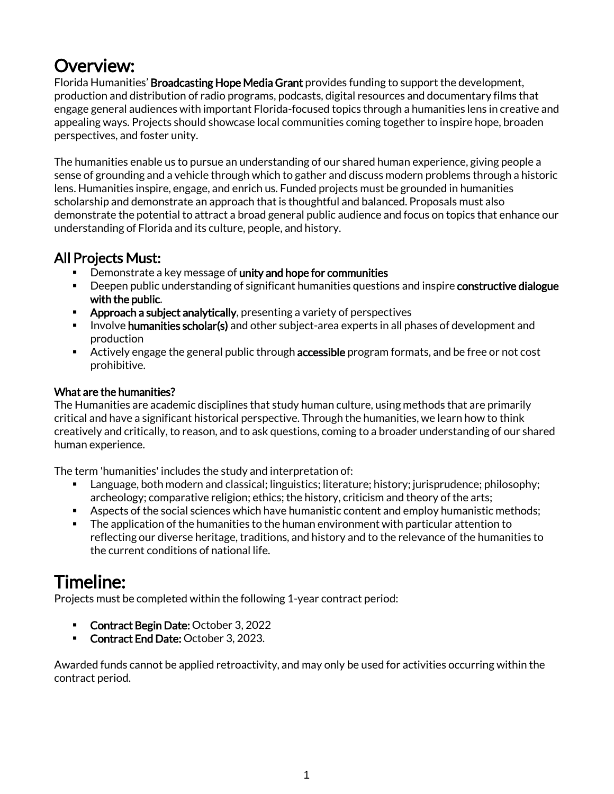## Overview:

Florida Humanities' Broadcasting Hope Media Grant provides funding to support the development, production and distribution of radio programs, podcasts, digital resources and documentary films that engage general audiences with important Florida-focused topics through a humanities lens in creative and appealing ways. Projects should showcase local communities coming together to inspire hope, broaden perspectives, and foster unity.

The humanities enable us to pursue an understanding of our shared human experience, giving people a sense of grounding and a vehicle through which to gather and discuss modern problems through a historic lens. Humanities inspire, engage, and enrich us. Funded projects must be grounded in humanities scholarship and demonstrate an approach that is thoughtful and balanced. Proposals must also demonstrate the potential to attract a broad general public audience and focus on topics that enhance our understanding of Florida and its culture, people, and history.

### All Projects Must:

- **EXP** Demonstrate a key message of unity and hope for communities
- **EXP** Deepen public understanding of significant humanities questions and inspire constructive dialogue with the public.
- **EXP** Approach a subject analytically, presenting a variety of perspectives
- **E** Involve **humanities scholar(s)** and other subject-area experts in all phases of development and production
- **EXP** Actively engage the general public through accessible program formats, and be free or not cost prohibitive.

#### What are the humanities?

The Humanities are academic disciplines that study human culture, using methods that are primarily critical and have a significant historical perspective. Through the humanities, we learn how to think creatively and critically, to reason, and to ask questions, coming to a broader understanding of our shared human experience.

The term 'humanities' includes the study and interpretation of:

- Language, both modern and classical; linguistics; literature; history; jurisprudence; philosophy; archeology; comparative religion; ethics; the history, criticism and theory of the arts;
- Aspects of the social sciences which have humanistic content and employ humanistic methods;
- The application of the humanities to the human environment with particular attention to reflecting our diverse heritage, traditions, and history and to the relevance of the humanities to the current conditions of national life.

## Timeline:

Projects must be completed within the following 1-year contract period:

- Contract Begin Date: October 3, 2022
- **Contract End Date: October 3, 2023.**

Awarded funds cannot be applied retroactivity, and may only be used for activities occurring within the contract period.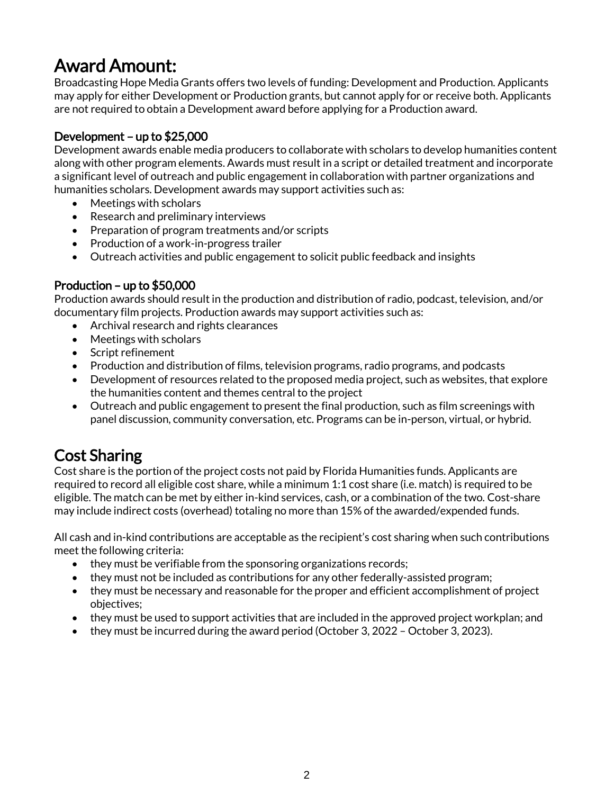## Award Amount:

Broadcasting Hope Media Grants offers two levels of funding: Development and Production. Applicants may apply for either Development or Production grants, but cannot apply for or receive both. Applicants are not required to obtain a Development award before applying for a Production award.

#### Development – up to \$25,000

Development awards enable media producers to collaborate with scholars to develop humanities content along with other program elements. Awards must result in a script or detailed treatment and incorporate a significant level of outreach and public engagement in collaboration with partner organizations and humanities scholars. Development awards may support activities such as:

- Meetings with scholars
- Research and preliminary interviews
- Preparation of program treatments and/or scripts
- Production of a work-in-progress trailer
- Outreach activities and public engagement to solicit public feedback and insights

#### Production – up to \$50,000

Production awards should result in the production and distribution of radio, podcast, television, and/or documentary film projects. Production awards may support activities such as:

- Archival research and rights clearances
- Meetings with scholars
- Script refinement
- Production and distribution of films, television programs, radio programs, and podcasts
- Development of resources related to the proposed media project, such as websites, that explore the humanities content and themes central to the project
- Outreach and public engagement to present the final production, such as film screenings with panel discussion, community conversation, etc. Programs can be in-person, virtual, or hybrid.

## Cost Sharing

Cost share is the portion of the project costs not paid by Florida Humanities funds. Applicants are required to record all eligible cost share, while a minimum 1:1 cost share (i.e. match) is required to be eligible. The match can be met by either in-kind services, cash, or a combination of the two. Cost-share may include indirect costs (overhead) totaling no more than 15% of the awarded/expended funds.

All cash and in-kind contributions are acceptable as the recipient's cost sharing when such contributions meet the following criteria:

- they must be verifiable from the sponsoring organizations records;
- they must not be included as contributions for any other federally-assisted program;
- they must be necessary and reasonable for the proper and efficient accomplishment of project objectives;
- they must be used to support activities that are included in the approved project workplan; and
- they must be incurred during the award period (October 3, 2022 October 3, 2023).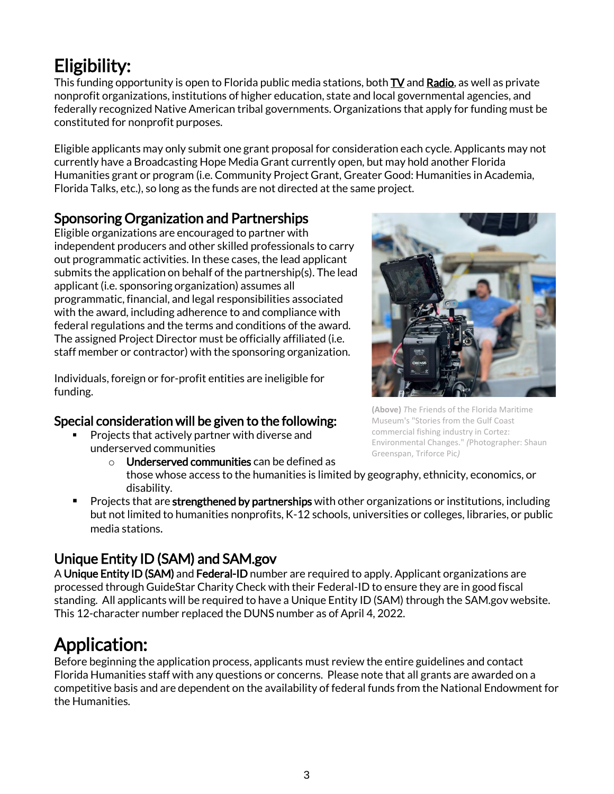## Eligibility:

This funding opportunity is open to Florida public media stations, both  $TV$  an[d Radio,](http://www.floridapublicmedia.org/radio/) as well as private nonprofit organizations, institutions of higher education, state and local governmental agencies, and federally recognized Native American tribal governments. Organizations that apply for funding must be constituted for nonprofit purposes.

Eligible applicants may only submit one grant proposal for consideration each cycle. Applicants may not currently have a Broadcasting Hope Media Grant currently open, but may hold another Florida Humanities grant or program (i.e. Community Project Grant, Greater Good: Humanities in Academia, Florida Talks, etc.), so long as the funds are not directed at the same project.

### Sponsoring Organization and Partnerships

Eligible organizations are encouraged to partner with independent producers and other skilled professionals to carry out programmatic activities. In these cases, the lead applicant submits the application on behalf of the partnership(s). The lead applicant (i.e. sponsoring organization) assumes all programmatic, financial, and legal responsibilities associated with the award, including adherence to and compliance with federal regulations and the terms and conditions of the award. The assigned Project Director must be officially affiliated (i.e. staff member or contractor) with the sponsoring organization.

Individuals, foreign or for-profit entities are ineligible for funding.

### Special consideration will be given to the following:

- Projects that actively partner with diverse and underserved communities
	- $\circ$  Underserved communities can be defined as those whose access to the humanities is limited by geography, ethnicity, economics, or disability.
- Projects that are strengthened by partnerships with other organizations or institutions, including but not limited to humanities nonprofits, K-12 schools, universities or colleges, libraries, or public media stations.

## Unique Entity ID (SAM) and SAM.gov

A Unique Entity ID (SAM) and Federal-ID number are required to apply. Applicant organizations are processed through GuideStar Charity Check with their Federal-ID to ensure they are in good fiscal standing. All applicants will be required to have a Unique Entity ID (SAM) through the SAM.gov website. This 12-character number replaced the DUNS number as of April 4, 2022.

## Application:

Before beginning the application process, applicants must review the entire guidelines and contact Florida Humanities staff with any questions or concerns. Please note that all grants are awarded on a competitive basis and are dependent on the availability of federal funds from the National Endowment for the Humanities.

**(Above)** *T*he Friends of the Florida Maritime Museum's "Stories from the Gulf Coast commercial fishing industry in Cortez: Environmental Changes." *(*Photographer: Shaun Greenspan, Triforce Pic*)*

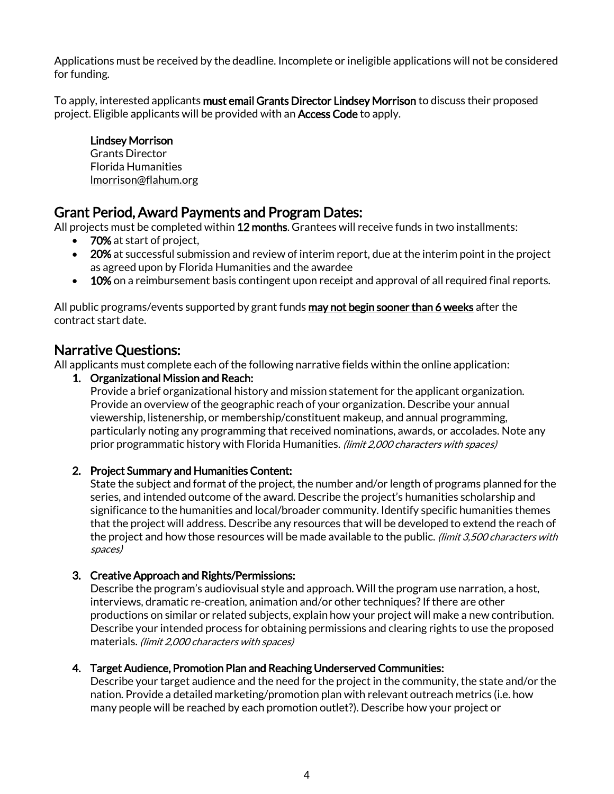Applications must be received by the deadline. Incomplete or ineligible applications will not be considered for funding.

To apply, interested applicants must email Grants Director Lindsey Morrison to discuss their proposed project. Eligible applicants will be provided with an Access Code to apply.

#### Lindsey Morrison

Grants Director Florida Humanities [lmorrison@flahum.org](mailto:lmorrison@flahum.org)

### Grant Period, Award Payments and Program Dates:

All projects must be completed within 12 months. Grantees will receive funds in two installments:

- **70%** at start of project,
- 20% at successful submission and review of interim report, due at the interim point in the project as agreed upon by Florida Humanities and the awardee
- 10% on a reimbursement basis contingent upon receipt and approval of all required final reports.

All public programs/events supported by grant funds **may not begin sooner than 6 weeks** after the contract start date.

### Narrative Questions:

All applicants must complete each of the following narrative fields within the online application:

#### 1. Organizational Mission and Reach:

Provide a brief organizational history and mission statement for the applicant organization. Provide an overview of the geographic reach of your organization. Describe your annual viewership, listenership, or membership/constituent makeup, and annual programming, particularly noting any programming that received nominations, awards, or accolades. Note any prior programmatic history with Florida Humanities. (limit 2,000 characters with spaces)

#### 2. Project Summary and Humanities Content:

State the subject and format of the project, the number and/or length of programs planned for the series, and intended outcome of the award. Describe the project's humanities scholarship and significance to the humanities and local/broader community. Identify specific humanities themes that the project will address. Describe any resources that will be developed to extend the reach of the project and how those resources will be made available to the public. (limit 3,500 characters with spaces)

#### 3. Creative Approach and Rights/Permissions:

Describe the program's audiovisual style and approach. Will the program use narration, a host, interviews, dramatic re-creation, animation and/or other techniques? If there are other productions on similar or related subjects, explain how your project will make a new contribution. Describe your intended process for obtaining permissions and clearing rights to use the proposed materials. (limit 2,000 characters with spaces)

#### 4. Target Audience, Promotion Plan and Reaching Underserved Communities:

Describe your target audience and the need for the project in the community, the state and/or the nation. Provide a detailed marketing/promotion plan with relevant outreach metrics (i.e. how many people will be reached by each promotion outlet?). Describe how your project or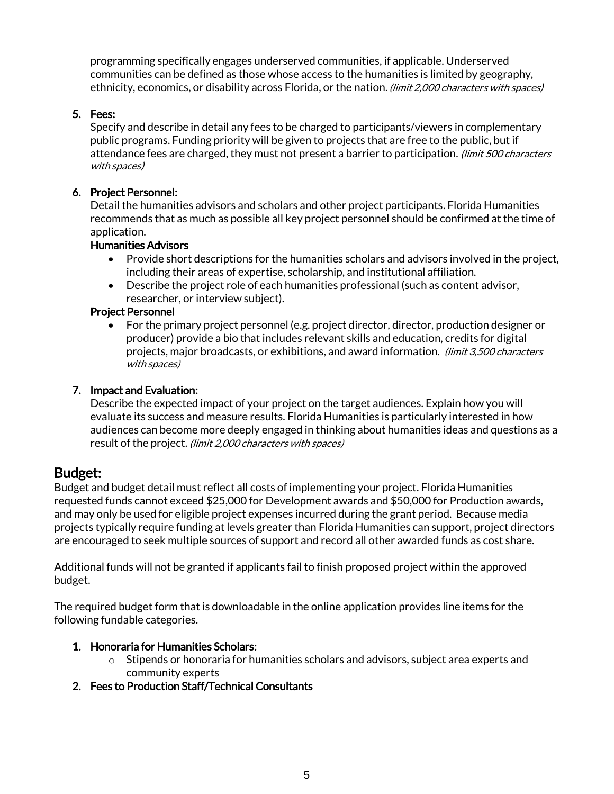programming specifically engages underserved communities, if applicable. Underserved communities can be defined as those whose access to the humanities is limited by geography, ethnicity, economics, or disability across Florida, or the nation. (limit 2,000 characters with spaces)

#### 5. Fees:

Specify and describe in detail any fees to be charged to participants/viewers in complementary public programs. Funding priority will be given to projects that are free to the public, but if attendance fees are charged, they must not present a barrier to participation. (limit 500 characters with spaces)

#### 6. Project Personnel:

Detail the humanities advisors and scholars and other project participants. Florida Humanities recommends that as much as possible all key project personnel should be confirmed at the time of application.

#### Humanities Advisors

- Provide short descriptions for the humanities scholars and advisors involved in the project, including their areas of expertise, scholarship, and institutional affiliation.
- Describe the project role of each humanities professional (such as content advisor, researcher, or interview subject).

#### Project Personnel

• For the primary project personnel (e.g. project director, director, production designer or producer) provide a bio that includes relevant skills and education, credits for digital projects, major broadcasts, or exhibitions, and award information. (limit 3,500 characters with spaces)

#### 7. Impact and Evaluation:

Describe the expected impact of your project on the target audiences. Explain how you will evaluate its success and measure results. Florida Humanities is particularly interested in how audiences can become more deeply engaged in thinking about humanities ideas and questions as a result of the project. (limit 2,000 characters with spaces)

### Budget:

Budget and budget detail must reflect all costs of implementing your project. Florida Humanities requested funds cannot exceed \$25,000 for Development awards and \$50,000 for Production awards, and may only be used for eligible project expenses incurred during the grant period. Because media projects typically require funding at levels greater than Florida Humanities can support, project directors are encouraged to seek multiple sources of support and record all other awarded funds as cost share.

Additional funds will not be granted if applicants fail to finish proposed project within the approved budget.

The required budget form that is downloadable in the online application provides line items for the following fundable categories.

#### 1. Honoraria for Humanities Scholars:

- $\circ$  Stipends or honoraria for humanities scholars and advisors, subject area experts and community experts
- 2. Fees to Production Staff/Technical Consultants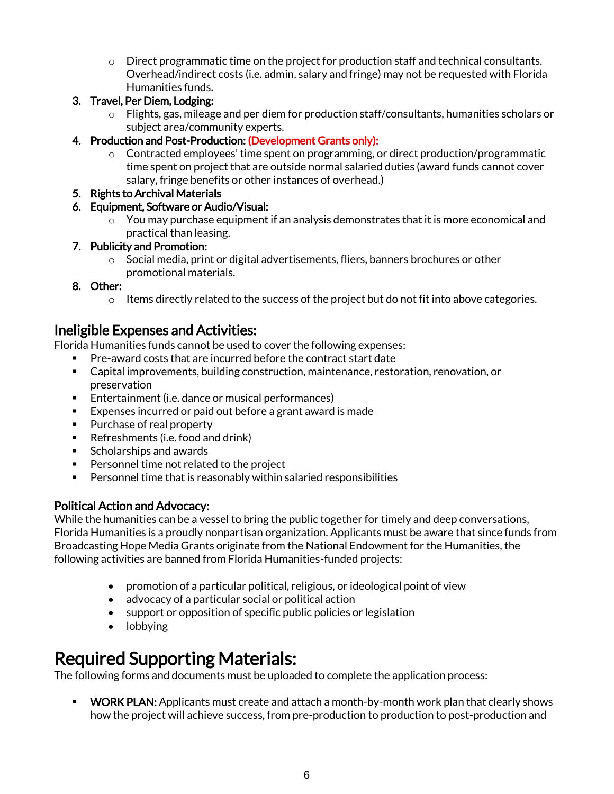- $\circ$  Direct programmatic time on the project for production staff and technical consultants. Overhead/indirect costs (i.e. admin, salary and fringe) may not be requested with Florida Humanities funds.
- 3. Travel, Per Diem, Lodging:
	- $\circ$  Flights, gas, mileage and per diem for production staff/consultants, humanities scholars or subject area/community experts.
- 4. Production and Post-Production: (Development Grants only):
	- o Contracted employees' time spent on programming, or direct production/programmatic time spent on project that are outside normal salaried duties (award funds cannot cover salary, fringe benefits or other instances of overhead.)
- 5. Rights to Archival Materials
- 6. Equipment, Software or Audio/Visual:
	- $\circ$  You may purchase equipment if an analysis demonstrates that it is more economical and practical than leasing.

#### 7. Publicity and Promotion:

- o Social media, print or digital advertisements, fliers, banners brochures or other promotional materials.
- 8. Other:
	- $\circ$  Items directly related to the success of the project but do not fit into above categories.

### Ineligible Expenses and Activities:

Florida Humanities funds cannot be used to cover the following expenses:

- Pre-award costs that are incurred before the contract start date
- Capital improvements, building construction, maintenance, restoration, renovation, or preservation
- Entertainment (i.e. dance or musical performances)
- Expenses incurred or paid out before a grant award is made
- Purchase of real property
- Refreshments (i.e. food and drink)
- Scholarships and awards
- Personnel time not related to the project
- Personnel time that is reasonably within salaried responsibilities

#### Political Action and Advocacy:

While the humanities can be a vessel to bring the public together for timely and deep conversations, Florida Humanities is a proudly nonpartisan organization. Applicants must be aware that since funds from Broadcasting Hope Media Grants originate from the National Endowment for the Humanities, the following activities are banned from Florida Humanities-funded projects:

- promotion of a particular political, religious, or ideological point of view
- advocacy of a particular social or political action
- support or opposition of specific public policies or legislation
- lobbying

## Required Supporting Materials:

The following forms and documents must be uploaded to complete the application process:

**• WORK PLAN:** Applicants must create and attach a month-by-month work plan that clearly shows how the project will achieve success, from pre-production to production to post-production and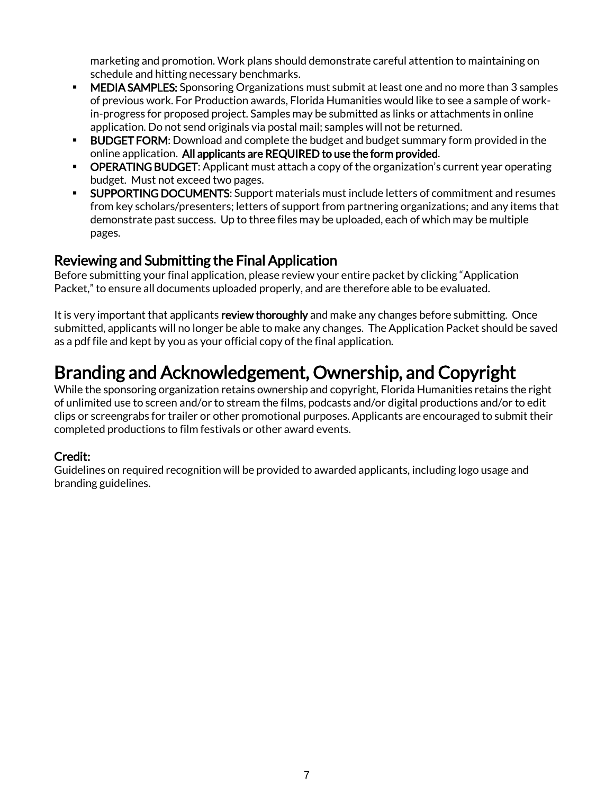marketing and promotion. Work plans should demonstrate careful attention to maintaining on schedule and hitting necessary benchmarks.

- MEDIA SAMPLES: Sponsoring Organizations must submit at least one and no more than 3 samples of previous work. For Production awards, Florida Humanities would like to see a sample of workin-progress for proposed project. Samples may be submitted as links or attachments in online application. Do not send originals via postal mail; samples will not be returned.
- **BUDGET FORM:** Download and complete the budget and budget summary form provided in the online application. All applicants are REQUIRED to use the form provided.
- **OPERATING BUDGET:** Applicant must attach a copy of the organization's current year operating budget. Must not exceed two pages.
- **SUPPORTING DOCUMENTS:** Support materials must include letters of commitment and resumes from key scholars/presenters; letters of support from partnering organizations; and any items that demonstrate past success. Up to three files may be uploaded, each of which may be multiple pages.

### Reviewing and Submitting the Final Application

Before submitting your final application, please review your entire packet by clicking "Application Packet," to ensure all documents uploaded properly, and are therefore able to be evaluated.

It is very important that applicants review thoroughly and make any changes before submitting. Once submitted, applicants will no longer be able to make any changes. The Application Packet should be saved as a pdf file and kept by you as your official copy of the final application.

## Branding and Acknowledgement, Ownership, and Copyright

While the sponsoring organization retains ownership and copyright, Florida Humanities retains the right of unlimited use to screen and/or to stream the films, podcasts and/or digital productions and/or to edit clips or screengrabs for trailer or other promotional purposes. Applicants are encouraged to submit their completed productions to film festivals or other award events.

### Credit:

Guidelines on required recognition will be provided to awarded applicants, including logo usage and branding guidelines.